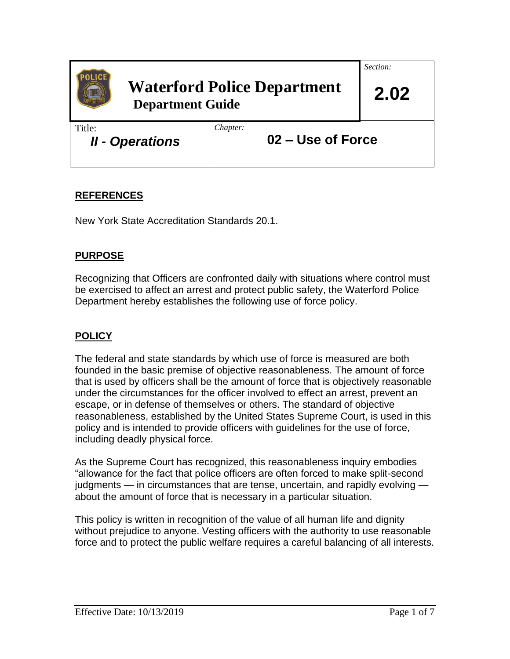

# **Waterford Police Department Department Guide**

*Chapter:*

*Section:*

 **2.02**

Title:

*II - Operations*

**02 – Use of Force**

## **REFERENCES**

New York State Accreditation Standards 20.1.

## **PURPOSE**

Recognizing that Officers are confronted daily with situations where control must be exercised to affect an arrest and protect public safety, the Waterford Police Department hereby establishes the following use of force policy.

## **POLICY**

The federal and state standards by which use of force is measured are both founded in the basic premise of objective reasonableness. The amount of force that is used by officers shall be the amount of force that is objectively reasonable under the circumstances for the officer involved to effect an arrest, prevent an escape, or in defense of themselves or others. The standard of objective reasonableness, established by the United States Supreme Court, is used in this policy and is intended to provide officers with guidelines for the use of force, including deadly physical force.

As the Supreme Court has recognized, this reasonableness inquiry embodies "allowance for the fact that police officers are often forced to make split-second judgments — in circumstances that are tense, uncertain, and rapidly evolving about the amount of force that is necessary in a particular situation.

This policy is written in recognition of the value of all human life and dignity without prejudice to anyone. Vesting officers with the authority to use reasonable force and to protect the public welfare requires a careful balancing of all interests.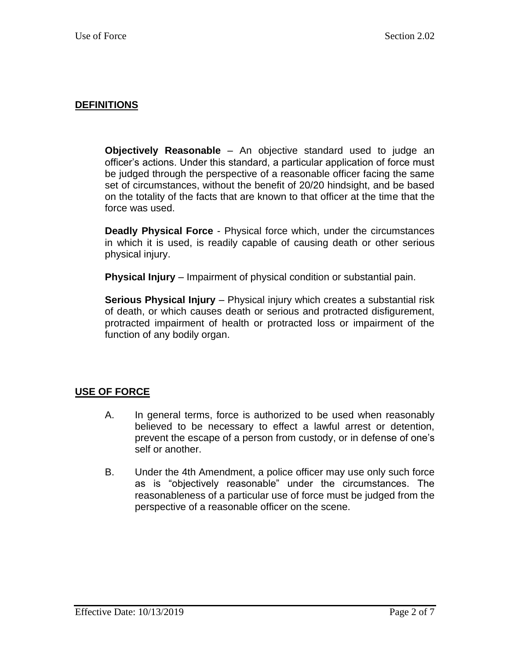#### **DEFINITIONS**

**Objectively Reasonable** – An objective standard used to judge an officer's actions. Under this standard, a particular application of force must be judged through the perspective of a reasonable officer facing the same set of circumstances, without the benefit of 20/20 hindsight, and be based on the totality of the facts that are known to that officer at the time that the force was used.

**Deadly Physical Force** - Physical force which, under the circumstances in which it is used, is readily capable of causing death or other serious physical injury.

**Physical Injury** – Impairment of physical condition or substantial pain.

**Serious Physical Injury** – Physical injury which creates a substantial risk of death, or which causes death or serious and protracted disfigurement, protracted impairment of health or protracted loss or impairment of the function of any bodily organ.

#### **USE OF FORCE**

- A. In general terms, force is authorized to be used when reasonably believed to be necessary to effect a lawful arrest or detention, prevent the escape of a person from custody, or in defense of one's self or another.
- B. Under the 4th Amendment, a police officer may use only such force as is "objectively reasonable" under the circumstances. The reasonableness of a particular use of force must be judged from the perspective of a reasonable officer on the scene.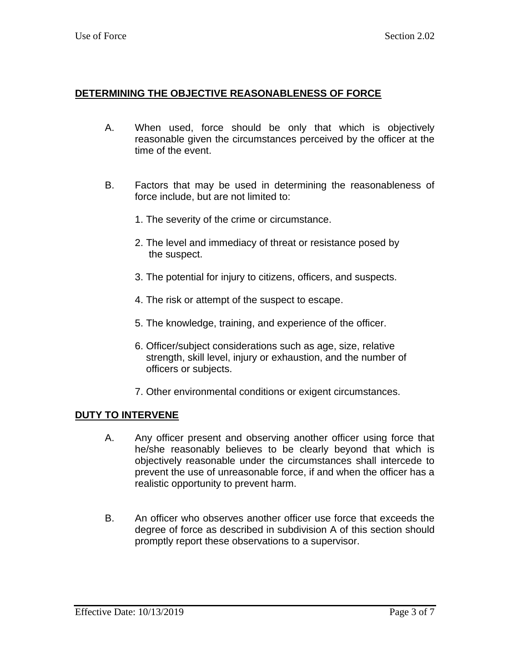#### **DETERMINING THE OBJECTIVE REASONABLENESS OF FORCE**

- A. When used, force should be only that which is objectively reasonable given the circumstances perceived by the officer at the time of the event.
- B. Factors that may be used in determining the reasonableness of force include, but are not limited to:
	- 1. The severity of the crime or circumstance.
	- 2. The level and immediacy of threat or resistance posed by the suspect.
	- 3. The potential for injury to citizens, officers, and suspects.
	- 4. The risk or attempt of the suspect to escape.
	- 5. The knowledge, training, and experience of the officer.
	- 6. Officer/subject considerations such as age, size, relative strength, skill level, injury or exhaustion, and the number of officers or subjects.
	- 7. Other environmental conditions or exigent circumstances.

#### **DUTY TO INTERVENE**

- A. Any officer present and observing another officer using force that he/she reasonably believes to be clearly beyond that which is objectively reasonable under the circumstances shall intercede to prevent the use of unreasonable force, if and when the officer has a realistic opportunity to prevent harm.
- B. An officer who observes another officer use force that exceeds the degree of force as described in subdivision A of this section should promptly report these observations to a supervisor.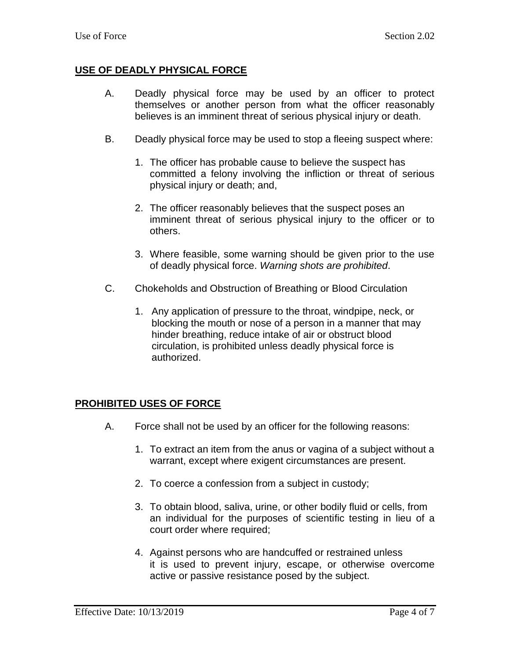### **USE OF DEADLY PHYSICAL FORCE**

- A. Deadly physical force may be used by an officer to protect themselves or another person from what the officer reasonably believes is an imminent threat of serious physical injury or death.
- B. Deadly physical force may be used to stop a fleeing suspect where:
	- 1. The officer has probable cause to believe the suspect has committed a felony involving the infliction or threat of serious physical injury or death; and,
	- 2. The officer reasonably believes that the suspect poses an imminent threat of serious physical injury to the officer or to others.
	- 3. Where feasible, some warning should be given prior to the use of deadly physical force. *Warning shots are prohibited*.
- C. Chokeholds and Obstruction of Breathing or Blood Circulation
	- 1. Any application of pressure to the throat, windpipe, neck, or blocking the mouth or nose of a person in a manner that may hinder breathing, reduce intake of air or obstruct blood circulation, is prohibited unless deadly physical force is authorized.

#### **PROHIBITED USES OF FORCE**

- A. Force shall not be used by an officer for the following reasons:
	- 1. To extract an item from the anus or vagina of a subject without a warrant, except where exigent circumstances are present.
	- 2. To coerce a confession from a subject in custody;
	- 3. To obtain blood, saliva, urine, or other bodily fluid or cells, from an individual for the purposes of scientific testing in lieu of a court order where required;
	- 4. Against persons who are handcuffed or restrained unless it is used to prevent injury, escape, or otherwise overcome active or passive resistance posed by the subject.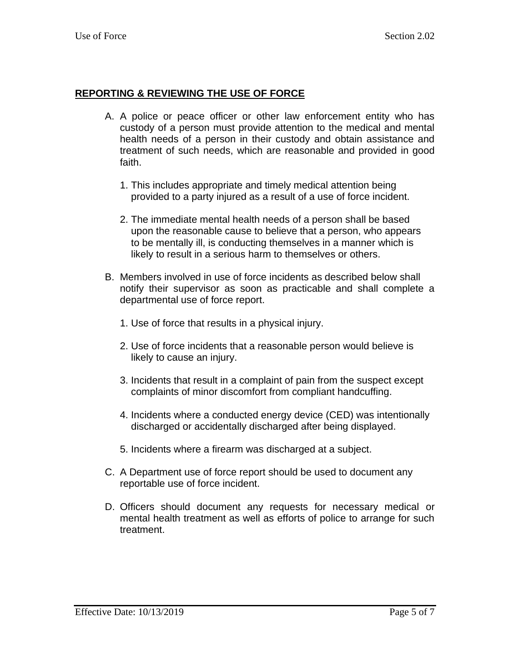#### **REPORTING & REVIEWING THE USE OF FORCE**

- A. A police or peace officer or other law enforcement entity who has custody of a person must provide attention to the medical and mental health needs of a person in their custody and obtain assistance and treatment of such needs, which are reasonable and provided in good faith.
	- 1. This includes appropriate and timely medical attention being provided to a party injured as a result of a use of force incident.
	- 2. The immediate mental health needs of a person shall be based upon the reasonable cause to believe that a person, who appears to be mentally ill, is conducting themselves in a manner which is likely to result in a serious harm to themselves or others.
- B. Members involved in use of force incidents as described below shall notify their supervisor as soon as practicable and shall complete a departmental use of force report.
	- 1. Use of force that results in a physical injury.
	- 2. Use of force incidents that a reasonable person would believe is likely to cause an injury.
	- 3. Incidents that result in a complaint of pain from the suspect except complaints of minor discomfort from compliant handcuffing.
	- 4. Incidents where a conducted energy device (CED) was intentionally discharged or accidentally discharged after being displayed.
	- 5. Incidents where a firearm was discharged at a subject.
- C. A Department use of force report should be used to document any reportable use of force incident.
- D. Officers should document any requests for necessary medical or mental health treatment as well as efforts of police to arrange for such treatment.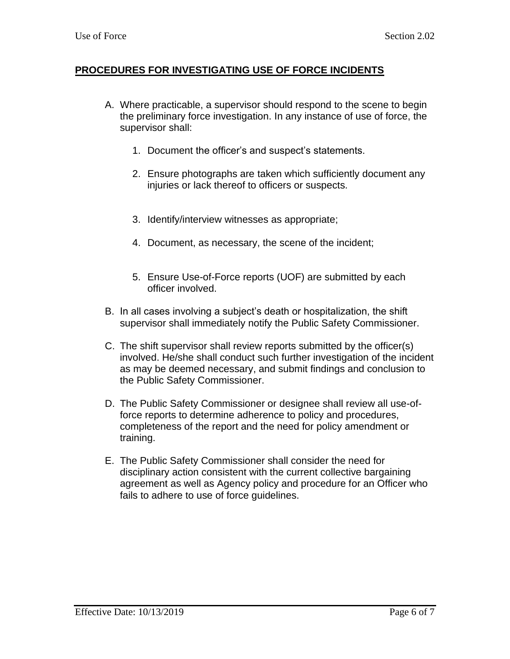#### **PROCEDURES FOR INVESTIGATING USE OF FORCE INCIDENTS**

- A. Where practicable, a supervisor should respond to the scene to begin the preliminary force investigation. In any instance of use of force, the supervisor shall:
	- 1. Document the officer's and suspect's statements.
	- 2. Ensure photographs are taken which sufficiently document any injuries or lack thereof to officers or suspects.
	- 3. Identify/interview witnesses as appropriate;
	- 4. Document, as necessary, the scene of the incident;
	- 5. Ensure Use-of-Force reports (UOF) are submitted by each officer involved.
- B. In all cases involving a subject's death or hospitalization, the shift supervisor shall immediately notify the Public Safety Commissioner.
- C. The shift supervisor shall review reports submitted by the officer(s) involved. He/she shall conduct such further investigation of the incident as may be deemed necessary, and submit findings and conclusion to the Public Safety Commissioner.
- D. The Public Safety Commissioner or designee shall review all use-offorce reports to determine adherence to policy and procedures, completeness of the report and the need for policy amendment or training.
- E. The Public Safety Commissioner shall consider the need for disciplinary action consistent with the current collective bargaining agreement as well as Agency policy and procedure for an Officer who fails to adhere to use of force guidelines.